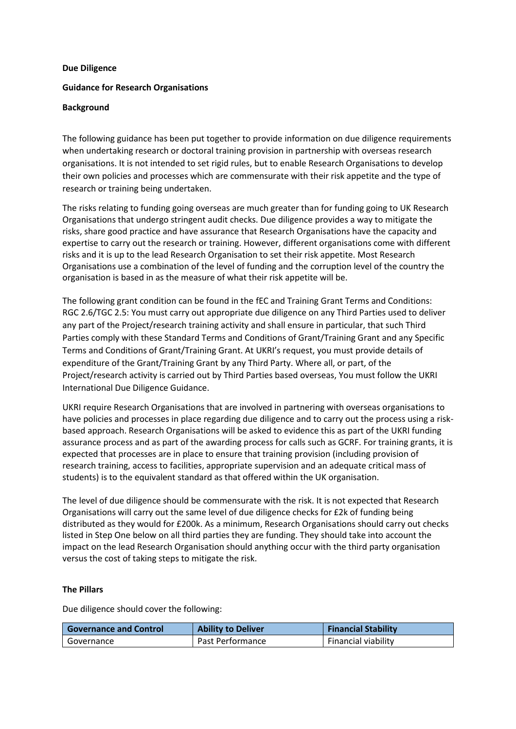#### **Due Diligence**

### **Guidance for Research Organisations**

#### **Background**

The following guidance has been put together to provide information on due diligence requirements when undertaking research or doctoral training provision in partnership with overseas research organisations. It is not intended to set rigid rules, but to enable Research Organisations to develop their own policies and processes which are commensurate with their risk appetite and the type of research or training being undertaken.

The risks relating to funding going overseas are much greater than for funding going to UK Research Organisations that undergo stringent audit checks. Due diligence provides a way to mitigate the risks, share good practice and have assurance that Research Organisations have the capacity and expertise to carry out the research or training. However, different organisations come with different risks and it is up to the lead Research Organisation to set their risk appetite. Most Research Organisations use a combination of the level of funding and the corruption level of the country the organisation is based in as the measure of what their risk appetite will be.

The following grant condition can be found in the fEC and Training Grant Terms and Conditions: RGC 2.6/TGC 2.5: You must carry out appropriate due diligence on any Third Parties used to deliver any part of the Project/research training activity and shall ensure in particular, that such Third Parties comply with these Standard Terms and Conditions of Grant/Training Grant and any Specific Terms and Conditions of Grant/Training Grant. At UKRI's request, you must provide details of expenditure of the Grant/Training Grant by any Third Party. Where all, or part, of the Project/research activity is carried out by Third Parties based overseas, You must follow the UKRI International Due Diligence Guidance.

UKRI require Research Organisations that are involved in partnering with overseas organisations to have policies and processes in place regarding due diligence and to carry out the process using a riskbased approach. Research Organisations will be asked to evidence this as part of the UKRI funding assurance process and as part of the awarding process for calls such as GCRF. For training grants, it is expected that processes are in place to ensure that training provision (including provision of research training, access to facilities, appropriate supervision and an adequate critical mass of students) is to the equivalent standard as that offered within the UK organisation.

The level of due diligence should be commensurate with the risk. It is not expected that Research Organisations will carry out the same level of due diligence checks for £2k of funding being distributed as they would for £200k. As a minimum, Research Organisations should carry out checks listed in Step One below on all third parties they are funding. They should take into account the impact on the lead Research Organisation should anything occur with the third party organisation versus the cost of taking steps to mitigate the risk.

## **The Pillars**

Due diligence should cover the following:

| <b>Governance and Control</b> | <b>Ability to Deliver</b> | <b>Financial Stability</b> |
|-------------------------------|---------------------------|----------------------------|
| Governance                    | Past Performance          | Financial viability        |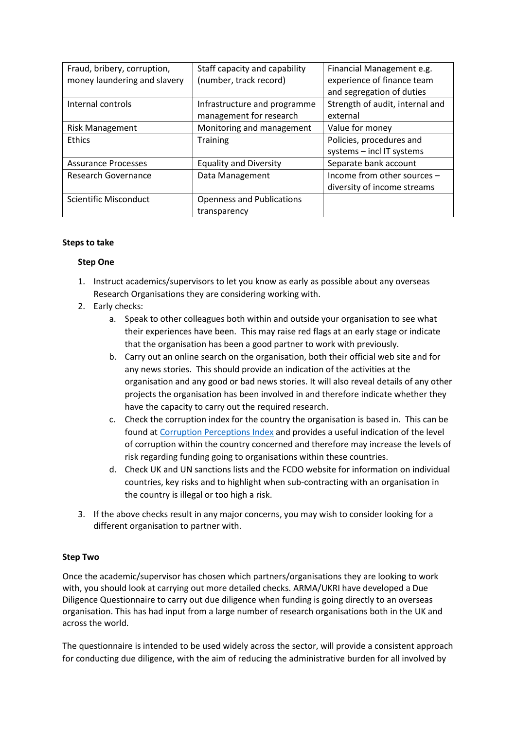| Fraud, bribery, corruption,  | Staff capacity and capability    | Financial Management e.g.       |
|------------------------------|----------------------------------|---------------------------------|
| money laundering and slavery | (number, track record)           | experience of finance team      |
|                              |                                  | and segregation of duties       |
| Internal controls            | Infrastructure and programme     | Strength of audit, internal and |
|                              | management for research          | external                        |
| <b>Risk Management</b>       | Monitoring and management        | Value for money                 |
| <b>Ethics</b>                | <b>Training</b>                  | Policies, procedures and        |
|                              |                                  | systems - incl IT systems       |
| <b>Assurance Processes</b>   | <b>Equality and Diversity</b>    | Separate bank account           |
| Research Governance          | Data Management                  | Income from other sources -     |
|                              |                                  | diversity of income streams     |
| Scientific Misconduct        | <b>Openness and Publications</b> |                                 |
|                              | transparency                     |                                 |

## **Steps to take**

#### **Step One**

- 1. Instruct academics/supervisors to let you know as early as possible about any overseas Research Organisations they are considering working with.
- 2. Early checks:
	- a. Speak to other colleagues both within and outside your organisation to see what their experiences have been. This may raise red flags at an early stage or indicate that the organisation has been a good partner to work with previously.
	- b. Carry out an online search on the organisation, both their official web site and for any news stories. This should provide an indication of the activities at the organisation and any good or bad news stories. It will also reveal details of any other projects the organisation has been involved in and therefore indicate whether they have the capacity to carry out the required research.
	- c. Check the corruption index for the country the organisation is based in. This can be found a[t Corruption Perceptions Index](https://en.wikipedia.org/wiki/Corruption_Perceptions_Index) and provides a useful indication of the level of corruption within the country concerned and therefore may increase the levels of risk regarding funding going to organisations within these countries.
	- d. Check UK and UN sanctions lists and the FCDO website for information on individual countries, key risks and to highlight when sub-contracting with an organisation in the country is illegal or too high a risk.
- 3. If the above checks result in any major concerns, you may wish to consider looking for a different organisation to partner with.

## **Step Two**

Once the academic/supervisor has chosen which partners/organisations they are looking to work with, you should look at carrying out more detailed checks. ARMA/UKRI have developed a Due Diligence Questionnaire to carry out due diligence when funding is going directly to an overseas organisation. This has had input from a large number of research organisations both in the UK and across the world.

The questionnaire is intended to be used widely across the sector, will provide a consistent approach for conducting due diligence, with the aim of reducing the administrative burden for all involved by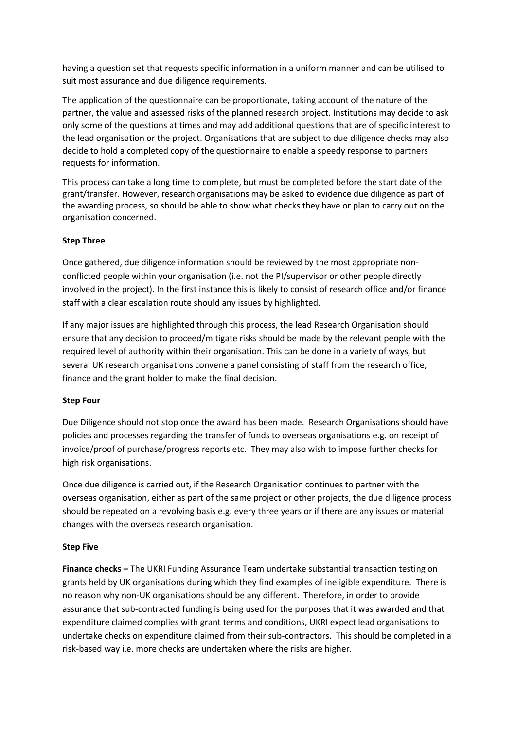having a question set that requests specific information in a uniform manner and can be utilised to suit most assurance and due diligence requirements.

The application of the questionnaire can be proportionate, taking account of the nature of the partner, the value and assessed risks of the planned research project. Institutions may decide to ask only some of the questions at times and may add additional questions that are of specific interest to the lead organisation or the project. Organisations that are subject to due diligence checks may also decide to hold a completed copy of the questionnaire to enable a speedy response to partners requests for information.

This process can take a long time to complete, but must be completed before the start date of the grant/transfer. However, research organisations may be asked to evidence due diligence as part of the awarding process, so should be able to show what checks they have or plan to carry out on the organisation concerned.

# **Step Three**

Once gathered, due diligence information should be reviewed by the most appropriate nonconflicted people within your organisation (i.e. not the PI/supervisor or other people directly involved in the project). In the first instance this is likely to consist of research office and/or finance staff with a clear escalation route should any issues by highlighted.

If any major issues are highlighted through this process, the lead Research Organisation should ensure that any decision to proceed/mitigate risks should be made by the relevant people with the required level of authority within their organisation. This can be done in a variety of ways, but several UK research organisations convene a panel consisting of staff from the research office, finance and the grant holder to make the final decision.

## **Step Four**

Due Diligence should not stop once the award has been made. Research Organisations should have policies and processes regarding the transfer of funds to overseas organisations e.g. on receipt of invoice/proof of purchase/progress reports etc. They may also wish to impose further checks for high risk organisations.

Once due diligence is carried out, if the Research Organisation continues to partner with the overseas organisation, either as part of the same project or other projects, the due diligence process should be repeated on a revolving basis e.g. every three years or if there are any issues or material changes with the overseas research organisation.

# **Step Five**

**Finance checks –** The UKRI Funding Assurance Team undertake substantial transaction testing on grants held by UK organisations during which they find examples of ineligible expenditure. There is no reason why non-UK organisations should be any different. Therefore, in order to provide assurance that sub-contracted funding is being used for the purposes that it was awarded and that expenditure claimed complies with grant terms and conditions, UKRI expect lead organisations to undertake checks on expenditure claimed from their sub-contractors. This should be completed in a risk-based way i.e. more checks are undertaken where the risks are higher.